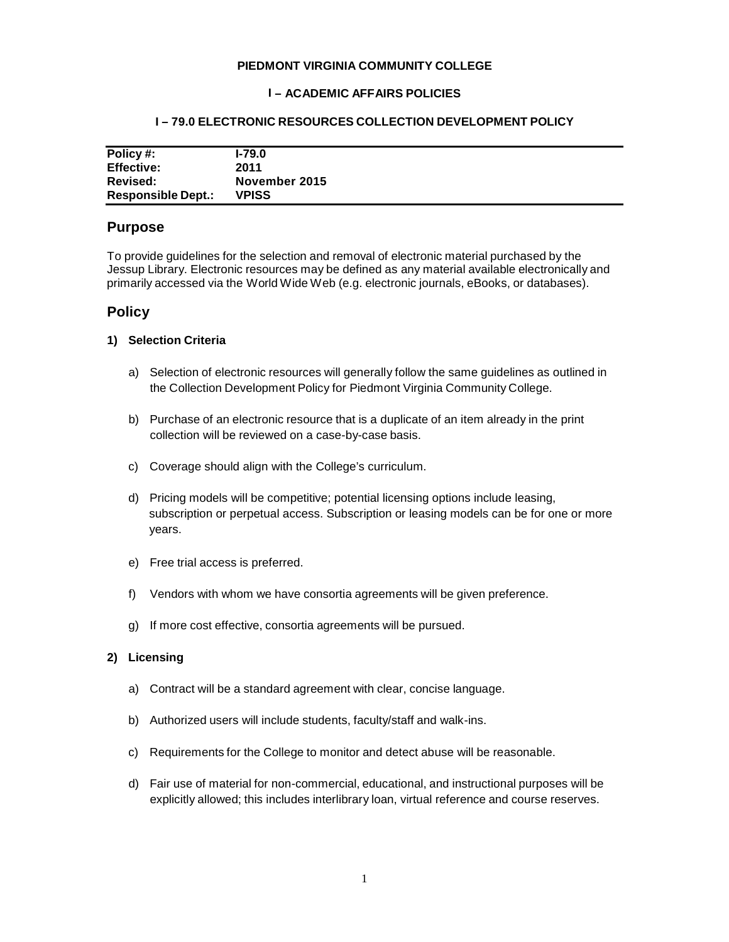#### **PIEDMONT VIRGINIA COMMUNITY COLLEGE**

### **I – ACADEMIC AFFAIRS POLICIES**

## **I – 79.0 ELECTRONIC RESOURCES COLLECTION DEVELOPMENT POLICY**

| Policy #:                 | $1-79.0$      |
|---------------------------|---------------|
| <b>Effective:</b>         | 2011          |
| <b>Revised:</b>           | November 2015 |
| <b>Responsible Dept.:</b> | <b>VPISS</b>  |

# **Purpose**

To provide guidelines for the selection and removal of electronic material purchased by the Jessup Library. Electronic resources may be defined as any material available electronically and primarily accessed via the World Wide Web (e.g. electronic journals, eBooks, or databases).

# **Policy**

### **1) Selection Criteria**

- a) Selection of electronic resources will generally follow the same guidelines as outlined in the Collection Development Policy for Piedmont Virginia Community College.
- b) Purchase of an electronic resource that is a duplicate of an item already in the print collection will be reviewed on a case-by-case basis.
- c) Coverage should align with the College's curriculum.
- d) Pricing models will be competitive; potential licensing options include leasing, subscription or perpetual access. Subscription or leasing models can be for one or more years.
- e) Free trial access is preferred.
- f) Vendors with whom we have consortia agreements will be given preference.
- g) If more cost effective, consortia agreements will be pursued.

#### **2) Licensing**

- a) Contract will be a standard agreement with clear, concise language.
- b) Authorized users will include students, faculty/staff and walk-ins.
- c) Requirements for the College to monitor and detect abuse will be reasonable.
- d) Fair use of material for non-commercial, educational, and instructional purposes will be explicitly allowed; this includes interlibrary loan, virtual reference and course reserves.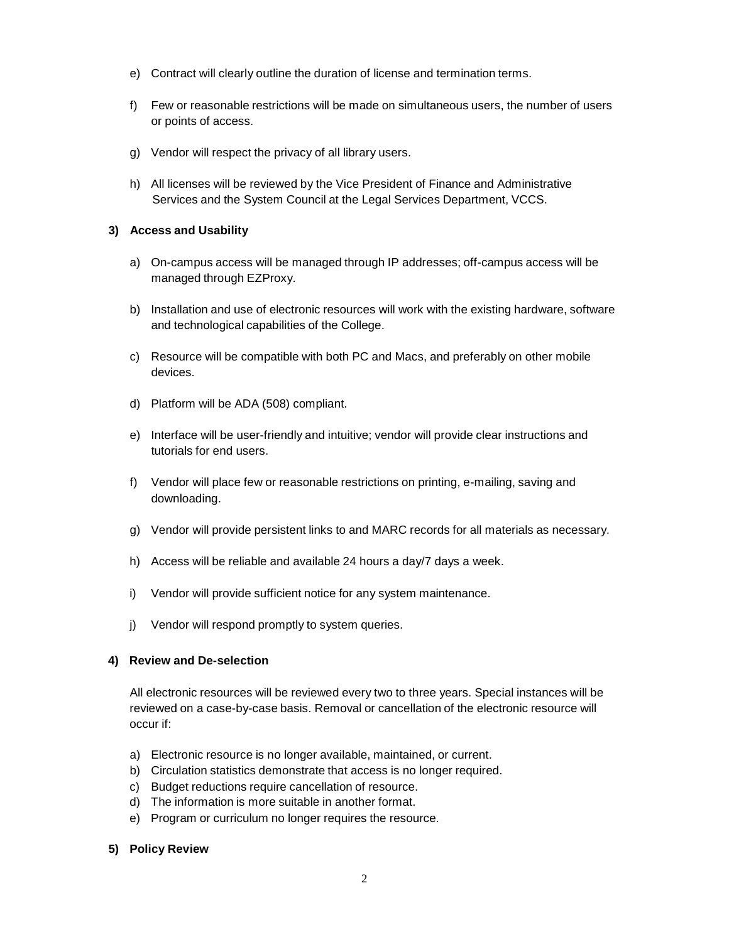- e) Contract will clearly outline the duration of license and termination terms.
- f) Few or reasonable restrictions will be made on simultaneous users, the number of users or points of access.
- g) Vendor will respect the privacy of all library users.
- h) All licenses will be reviewed by the Vice President of Finance and Administrative Services and the System Council at the Legal Services Department, VCCS.

### **3) Access and Usability**

- a) On-campus access will be managed through IP addresses; off-campus access will be managed through EZProxy.
- b) Installation and use of electronic resources will work with the existing hardware, software and technological capabilities of the College.
- c) Resource will be compatible with both PC and Macs, and preferably on other mobile devices.
- d) Platform will be ADA (508) compliant.
- e) Interface will be user-friendly and intuitive; vendor will provide clear instructions and tutorials for end users.
- f) Vendor will place few or reasonable restrictions on printing, e-mailing, saving and downloading.
- g) Vendor will provide persistent links to and MARC records for all materials as necessary.
- h) Access will be reliable and available 24 hours a day/7 days a week.
- i) Vendor will provide sufficient notice for any system maintenance.
- j) Vendor will respond promptly to system queries.

## **4) Review and De-selection**

All electronic resources will be reviewed every two to three years. Special instances will be reviewed on a case-by-case basis. Removal or cancellation of the electronic resource will occur if:

- a) Electronic resource is no longer available, maintained, or current.
- b) Circulation statistics demonstrate that access is no longer required.
- c) Budget reductions require cancellation of resource.
- d) The information is more suitable in another format.
- e) Program or curriculum no longer requires the resource.

#### **5) Policy Review**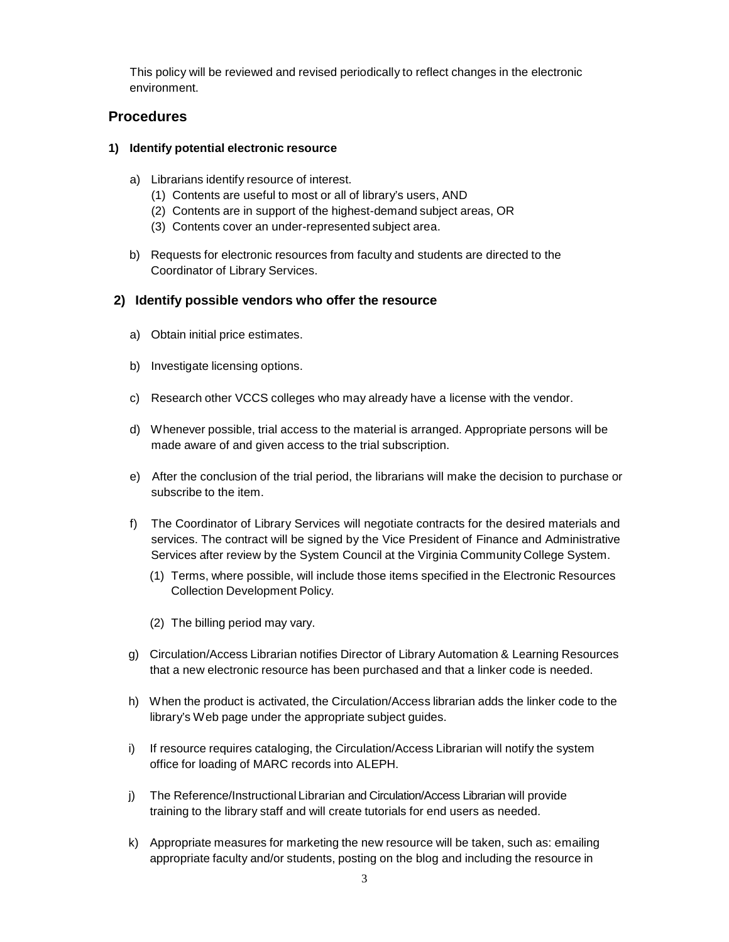This policy will be reviewed and revised periodically to reflect changes in the electronic environment.

# **Procedures**

# **1) Identify potential electronic resource**

- a) Librarians identify resource of interest.
	- (1) Contents are useful to most or all of library's users, AND
	- (2) Contents are in support of the highest-demand subject areas, OR
	- (3) Contents cover an under-represented subject area.
- b) Requests for electronic resources from faculty and students are directed to the Coordinator of Library Services.

# **2) Identify possible vendors who offer the resource**

- a) Obtain initial price estimates.
- b) Investigate licensing options.
- c) Research other VCCS colleges who may already have a license with the vendor.
- d) Whenever possible, trial access to the material is arranged. Appropriate persons will be made aware of and given access to the trial subscription.
- e) After the conclusion of the trial period, the librarians will make the decision to purchase or subscribe to the item.
- f) The Coordinator of Library Services will negotiate contracts for the desired materials and services. The contract will be signed by the Vice President of Finance and Administrative Services after review by the System Council at the Virginia Community College System.
	- (1) Terms, where possible, will include those items specified in the Electronic Resources Collection Development Policy.
	- (2) The billing period may vary.
- g) Circulation/Access Librarian notifies Director of Library Automation & Learning Resources that a new electronic resource has been purchased and that a linker code is needed.
- h) When the product is activated, the Circulation/Access librarian adds the linker code to the library's Web page under the appropriate subject guides.
- i) If resource requires cataloging, the Circulation/Access Librarian will notify the system office for loading of MARC records into ALEPH.
- j) The Reference/Instructional Librarian and Circulation/Access Librarian will provide training to the library staff and will create tutorials for end users as needed.
- k) Appropriate measures for marketing the new resource will be taken, such as: emailing appropriate faculty and/or students, posting on the blog and including the resource in